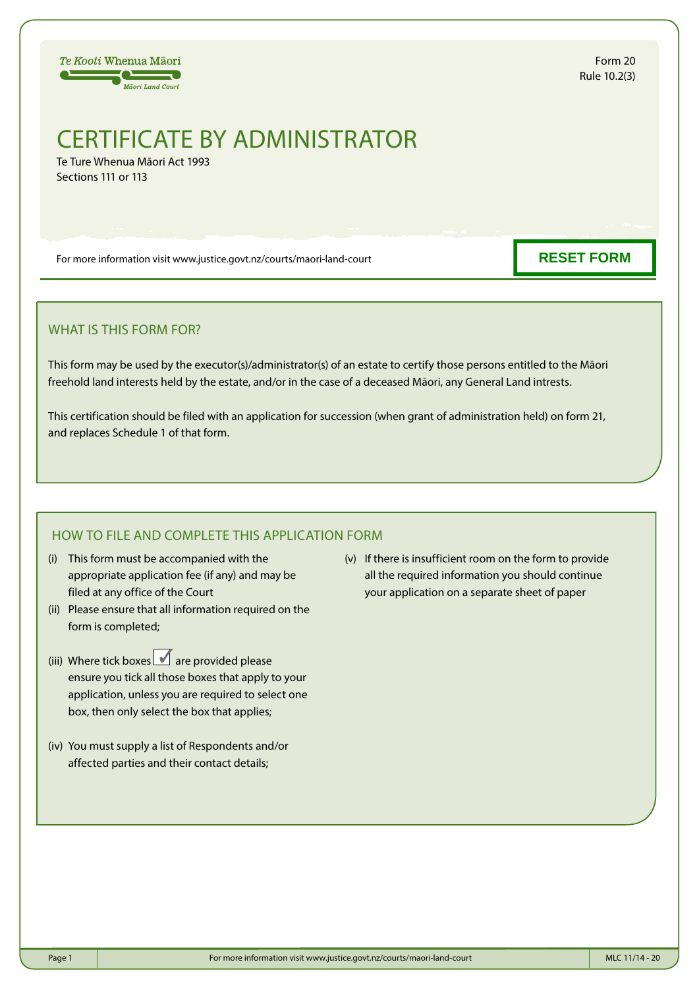Te Kooti Whenua Māori  $\overline{\phantom{a}}$ **Mäori Land Court** 

Form 20 Rule 10.2(3)

## CERTIFICATE BY ADMINISTRATOR

Te Ture Whenua Māori Act 1993 Sections 111 or 113

For more information visit www.justice.govt.nz/courts/maori-land-court

**RESET FORM**

## WHAT IS THIS FORM FOR?

This form may be used by the executor(s)/administrator(s) of an estate to certify those persons entitled to the Māori freehold land interests held by the estate, and/or in the case of a deceased Māori, any General Land intrests.

This certification should be filed with an application for succession (when grant of administration held) on form 21, and replaces Schedule 1 of that form.

## HOW TO FILE AND COMPLETE THIS APPLICATION FORM

- (i) This form must be accompanied with the appropriate application fee (if any) and may be filed at any office of the Court
- (ii) Please ensure that all information required on the form is completed;
- (iii) Where tick boxes  $\Box$  are provided please ensure you tick all those boxes that apply to your application, unless you are required to select one box, then only select the box that applies;
- (iv) You must supply a list of Respondents and/or affected parties and their contact details;

(v) If there is insufficient room on the form to provide all the required information you should continue your application on a separate sheet of paper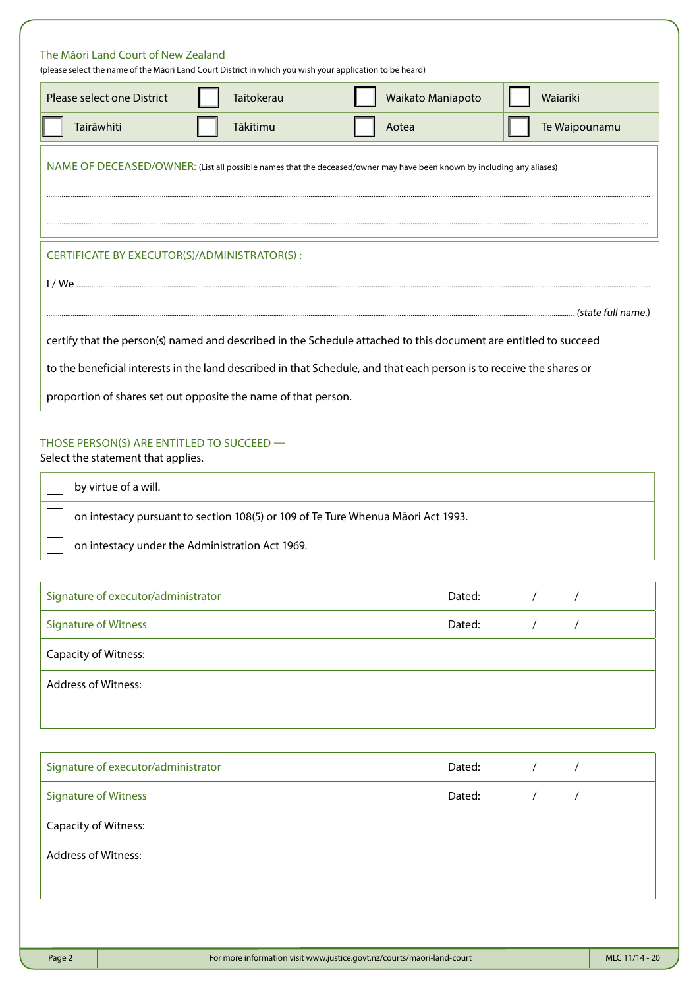| Please select one District                                                                                               | Taitokerau                                                                                                                          | Waikato Maniapoto                                                                                                                                                                                                                        |            | Waiariki      |
|--------------------------------------------------------------------------------------------------------------------------|-------------------------------------------------------------------------------------------------------------------------------------|------------------------------------------------------------------------------------------------------------------------------------------------------------------------------------------------------------------------------------------|------------|---------------|
| Tairāwhiti                                                                                                               | Tākitimu                                                                                                                            | Aotea                                                                                                                                                                                                                                    |            | Te Waipounamu |
|                                                                                                                          |                                                                                                                                     | NAME OF DECEASED/OWNER: (List all possible names that the deceased/owner may have been known by including any aliases)                                                                                                                   |            |               |
| CERTIFICATE BY EXECUTOR(S)/ADMINISTRATOR(S):                                                                             |                                                                                                                                     |                                                                                                                                                                                                                                          |            |               |
|                                                                                                                          |                                                                                                                                     |                                                                                                                                                                                                                                          |            |               |
|                                                                                                                          |                                                                                                                                     | certify that the person(s) named and described in the Schedule attached to this document are entitled to succeed<br>to the beneficial interests in the land described in that Schedule, and that each person is to receive the shares or |            |               |
|                                                                                                                          | proportion of shares set out opposite the name of that person.                                                                      |                                                                                                                                                                                                                                          |            |               |
| Select the statement that applies.                                                                                       |                                                                                                                                     |                                                                                                                                                                                                                                          |            |               |
| by virtue of a will.                                                                                                     | on intestacy pursuant to section 108(5) or 109 of Te Ture Whenua Māori Act 1993.<br>on intestacy under the Administration Act 1969. |                                                                                                                                                                                                                                          |            |               |
|                                                                                                                          |                                                                                                                                     | Dated:                                                                                                                                                                                                                                   | $\sqrt{2}$ | $\sqrt{2}$    |
|                                                                                                                          |                                                                                                                                     | Dated:                                                                                                                                                                                                                                   | $\prime$   | $\prime$      |
|                                                                                                                          |                                                                                                                                     |                                                                                                                                                                                                                                          |            |               |
| Signature of executor/administrator<br><b>Signature of Witness</b><br>Capacity of Witness:<br><b>Address of Witness:</b> |                                                                                                                                     |                                                                                                                                                                                                                                          |            |               |
| Signature of executor/administrator                                                                                      |                                                                                                                                     | Dated:                                                                                                                                                                                                                                   | $\prime$   | $\prime$      |
|                                                                                                                          |                                                                                                                                     | Dated:                                                                                                                                                                                                                                   | $\prime$   | $\prime$      |
| <b>Signature of Witness</b><br>Capacity of Witness:                                                                      |                                                                                                                                     |                                                                                                                                                                                                                                          |            |               |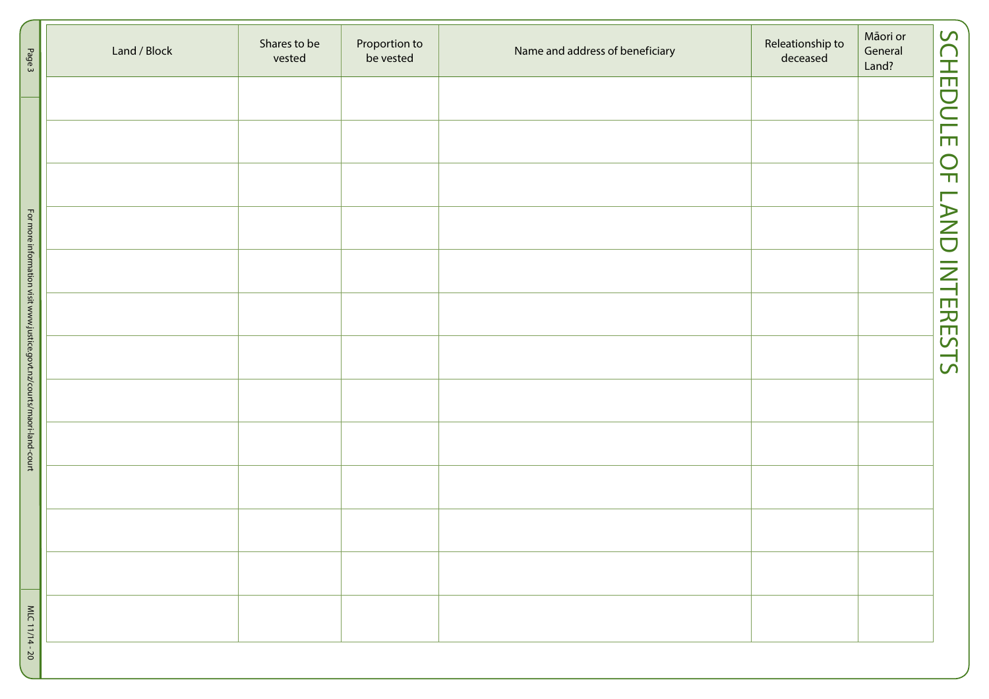| Page 3                                                                 | Land / Block | Shares to be<br>vested | Proportion to<br>be vested | Name and address of beneficiary | Releationship to<br>deceased | Māori or<br>General<br>Land? | <b>SCHEDULE OF</b> |
|------------------------------------------------------------------------|--------------|------------------------|----------------------------|---------------------------------|------------------------------|------------------------------|--------------------|
|                                                                        |              |                        |                            |                                 |                              |                              |                    |
|                                                                        |              |                        |                            |                                 |                              |                              |                    |
|                                                                        |              |                        |                            |                                 |                              |                              |                    |
|                                                                        |              |                        |                            |                                 |                              |                              | LAND INTERESTS     |
| For more information visit www.justice.govt.nz/courts/maori-land-court |              |                        |                            |                                 |                              |                              |                    |
|                                                                        |              |                        |                            |                                 |                              |                              |                    |
|                                                                        |              |                        |                            |                                 |                              |                              |                    |
|                                                                        |              |                        |                            |                                 |                              |                              |                    |
|                                                                        |              |                        |                            |                                 |                              |                              |                    |
|                                                                        |              |                        |                            |                                 |                              |                              |                    |
|                                                                        |              |                        |                            |                                 |                              |                              |                    |
|                                                                        |              |                        |                            |                                 |                              |                              |                    |
| MLC 11/14-20                                                           |              |                        |                            |                                 |                              |                              |                    |
|                                                                        |              |                        |                            |                                 |                              |                              |                    |